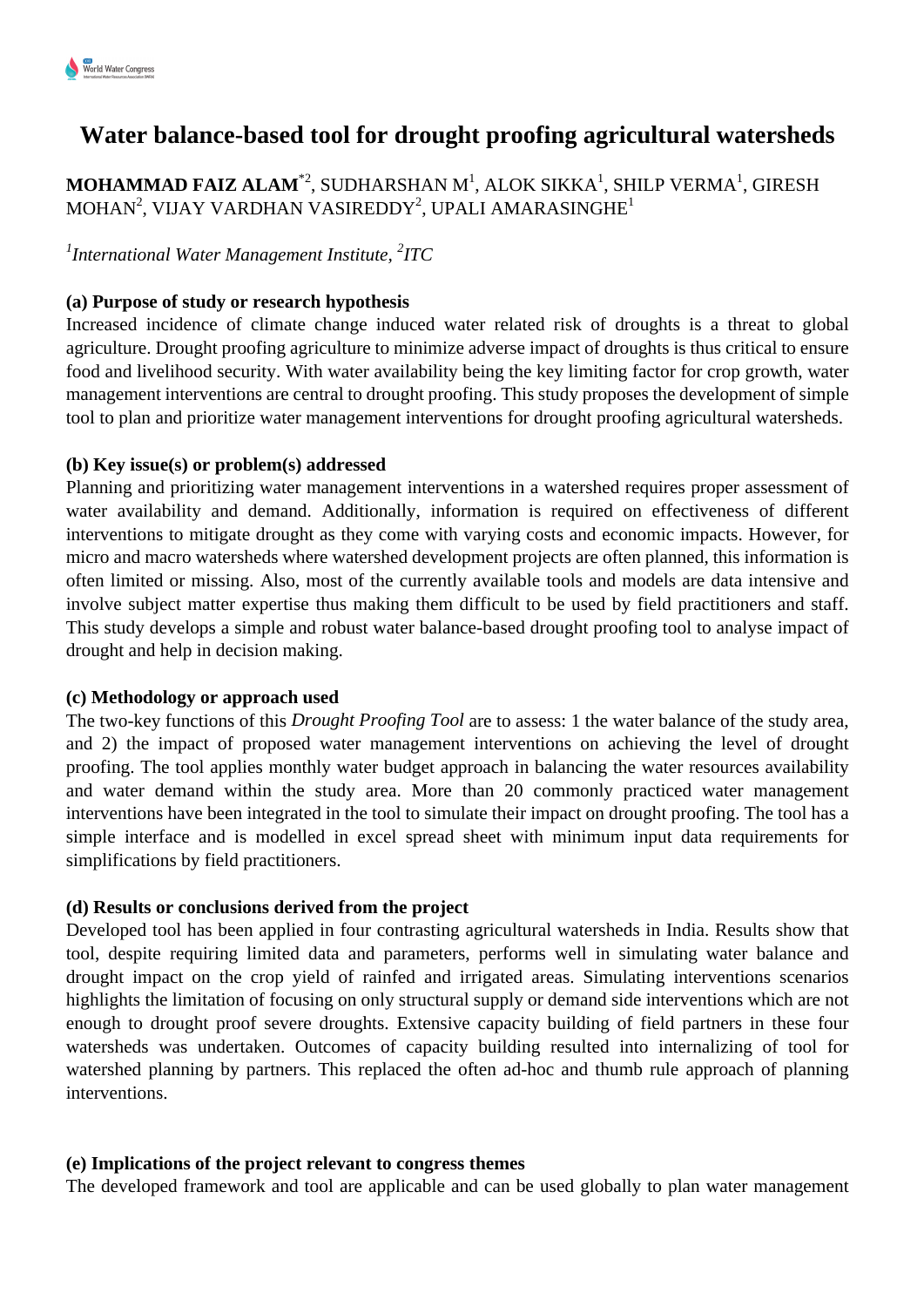

# **Water balance-based tool for drought proofing agricultural watersheds**

 $\mathbf M\mathbf O\mathbf H\mathbf A\mathbf M\mathbf A\mathbf D$   $\mathbf F\mathbf A\mathbf I\mathbf Z\mathbf A\mathbf L\mathbf A\mathbf M^{\ast2}$ , SUDHARSHAN  $\mathbf M^1$ , ALOK SIKKA $^1$ , SHILP VERMA $^1$ , GIRESH MOHAN $^2$ , VIJAY VARDHAN VASIREDDY $^2$ , UPALI AMARASINGHE $^1$ 

*1 International Water Management Institute, <sup>2</sup> ITC*

## **(a) Purpose of study or research hypothesis**

Increased incidence of climate change induced water related risk of droughts is a threat to global agriculture. Drought proofing agriculture to minimize adverse impact of droughts is thus critical to ensure food and livelihood security. With water availability being the key limiting factor for crop growth, water management interventions are central to drought proofing. This study proposes the development of simple tool to plan and prioritize water management interventions for drought proofing agricultural watersheds.

### **(b) Key issue(s) or problem(s) addressed**

Planning and prioritizing water management interventions in a watershed requires proper assessment of water availability and demand. Additionally, information is required on effectiveness of different interventions to mitigate drought as they come with varying costs and economic impacts. However, for micro and macro watersheds where watershed development projects are often planned, this information is often limited or missing. Also, most of the currently available tools and models are data intensive and involve subject matter expertise thus making them difficult to be used by field practitioners and staff. This study develops a simple and robust water balance-based drought proofing tool to analyse impact of drought and help in decision making.

#### **(c) Methodology or approach used**

The two-key functions of this *Drought Proofing Tool* are to assess: 1 the water balance of the study area, and 2) the impact of proposed water management interventions on achieving the level of drought proofing. The tool applies monthly water budget approach in balancing the water resources availability and water demand within the study area. More than 20 commonly practiced water management interventions have been integrated in the tool to simulate their impact on drought proofing. The tool has a simple interface and is modelled in excel spread sheet with minimum input data requirements for simplifications by field practitioners.

## **(d) Results or conclusions derived from the project**

Developed tool has been applied in four contrasting agricultural watersheds in India. Results show that tool, despite requiring limited data and parameters, performs well in simulating water balance and drought impact on the crop yield of rainfed and irrigated areas. Simulating interventions scenarios highlights the limitation of focusing on only structural supply or demand side interventions which are not enough to drought proof severe droughts. Extensive capacity building of field partners in these four watersheds was undertaken. Outcomes of capacity building resulted into internalizing of tool for watershed planning by partners. This replaced the often ad-hoc and thumb rule approach of planning interventions.

#### **(e) Implications of the project relevant to congress themes**

The developed framework and tool are applicable and can be used globally to plan water management